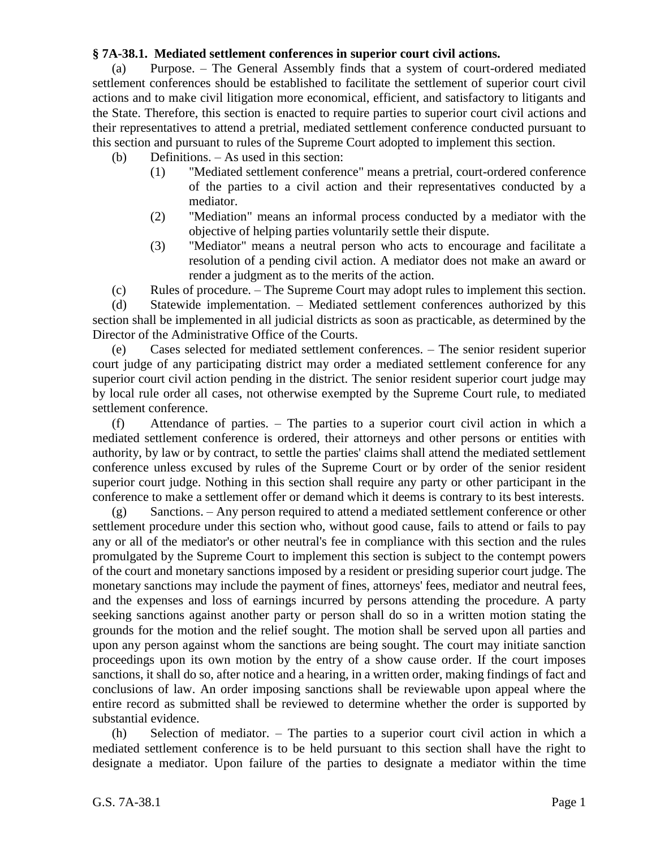## **§ 7A-38.1. Mediated settlement conferences in superior court civil actions.**

(a) Purpose. – The General Assembly finds that a system of court-ordered mediated settlement conferences should be established to facilitate the settlement of superior court civil actions and to make civil litigation more economical, efficient, and satisfactory to litigants and the State. Therefore, this section is enacted to require parties to superior court civil actions and their representatives to attend a pretrial, mediated settlement conference conducted pursuant to this section and pursuant to rules of the Supreme Court adopted to implement this section.

- (b) Definitions. As used in this section:
	- (1) "Mediated settlement conference" means a pretrial, court-ordered conference of the parties to a civil action and their representatives conducted by a mediator.
	- (2) "Mediation" means an informal process conducted by a mediator with the objective of helping parties voluntarily settle their dispute.
	- (3) "Mediator" means a neutral person who acts to encourage and facilitate a resolution of a pending civil action. A mediator does not make an award or render a judgment as to the merits of the action.

(c) Rules of procedure. – The Supreme Court may adopt rules to implement this section. (d) Statewide implementation. – Mediated settlement conferences authorized by this section shall be implemented in all judicial districts as soon as practicable, as determined by the Director of the Administrative Office of the Courts.

(e) Cases selected for mediated settlement conferences. – The senior resident superior court judge of any participating district may order a mediated settlement conference for any superior court civil action pending in the district. The senior resident superior court judge may by local rule order all cases, not otherwise exempted by the Supreme Court rule, to mediated settlement conference.

(f) Attendance of parties. – The parties to a superior court civil action in which a mediated settlement conference is ordered, their attorneys and other persons or entities with authority, by law or by contract, to settle the parties' claims shall attend the mediated settlement conference unless excused by rules of the Supreme Court or by order of the senior resident superior court judge. Nothing in this section shall require any party or other participant in the conference to make a settlement offer or demand which it deems is contrary to its best interests.

(g) Sanctions. – Any person required to attend a mediated settlement conference or other settlement procedure under this section who, without good cause, fails to attend or fails to pay any or all of the mediator's or other neutral's fee in compliance with this section and the rules promulgated by the Supreme Court to implement this section is subject to the contempt powers of the court and monetary sanctions imposed by a resident or presiding superior court judge. The monetary sanctions may include the payment of fines, attorneys' fees, mediator and neutral fees, and the expenses and loss of earnings incurred by persons attending the procedure. A party seeking sanctions against another party or person shall do so in a written motion stating the grounds for the motion and the relief sought. The motion shall be served upon all parties and upon any person against whom the sanctions are being sought. The court may initiate sanction proceedings upon its own motion by the entry of a show cause order. If the court imposes sanctions, it shall do so, after notice and a hearing, in a written order, making findings of fact and conclusions of law. An order imposing sanctions shall be reviewable upon appeal where the entire record as submitted shall be reviewed to determine whether the order is supported by substantial evidence.

(h) Selection of mediator. – The parties to a superior court civil action in which a mediated settlement conference is to be held pursuant to this section shall have the right to designate a mediator. Upon failure of the parties to designate a mediator within the time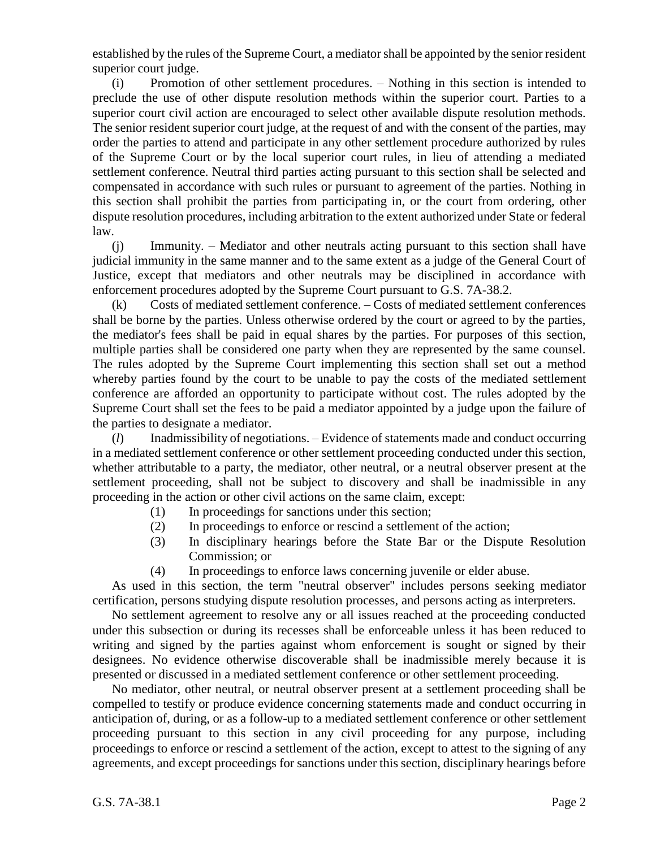established by the rules of the Supreme Court, a mediator shall be appointed by the senior resident superior court judge.

(i) Promotion of other settlement procedures. – Nothing in this section is intended to preclude the use of other dispute resolution methods within the superior court. Parties to a superior court civil action are encouraged to select other available dispute resolution methods. The senior resident superior court judge, at the request of and with the consent of the parties, may order the parties to attend and participate in any other settlement procedure authorized by rules of the Supreme Court or by the local superior court rules, in lieu of attending a mediated settlement conference. Neutral third parties acting pursuant to this section shall be selected and compensated in accordance with such rules or pursuant to agreement of the parties. Nothing in this section shall prohibit the parties from participating in, or the court from ordering, other dispute resolution procedures, including arbitration to the extent authorized under State or federal law.

(j) Immunity. – Mediator and other neutrals acting pursuant to this section shall have judicial immunity in the same manner and to the same extent as a judge of the General Court of Justice, except that mediators and other neutrals may be disciplined in accordance with enforcement procedures adopted by the Supreme Court pursuant to G.S. 7A-38.2.

(k) Costs of mediated settlement conference. – Costs of mediated settlement conferences shall be borne by the parties. Unless otherwise ordered by the court or agreed to by the parties, the mediator's fees shall be paid in equal shares by the parties. For purposes of this section, multiple parties shall be considered one party when they are represented by the same counsel. The rules adopted by the Supreme Court implementing this section shall set out a method whereby parties found by the court to be unable to pay the costs of the mediated settlement conference are afforded an opportunity to participate without cost. The rules adopted by the Supreme Court shall set the fees to be paid a mediator appointed by a judge upon the failure of the parties to designate a mediator.

(*l*) Inadmissibility of negotiations. – Evidence of statements made and conduct occurring in a mediated settlement conference or other settlement proceeding conducted under this section, whether attributable to a party, the mediator, other neutral, or a neutral observer present at the settlement proceeding, shall not be subject to discovery and shall be inadmissible in any proceeding in the action or other civil actions on the same claim, except:

- (1) In proceedings for sanctions under this section;
- (2) In proceedings to enforce or rescind a settlement of the action;
- (3) In disciplinary hearings before the State Bar or the Dispute Resolution Commission; or
- (4) In proceedings to enforce laws concerning juvenile or elder abuse.

As used in this section, the term "neutral observer" includes persons seeking mediator certification, persons studying dispute resolution processes, and persons acting as interpreters.

No settlement agreement to resolve any or all issues reached at the proceeding conducted under this subsection or during its recesses shall be enforceable unless it has been reduced to writing and signed by the parties against whom enforcement is sought or signed by their designees. No evidence otherwise discoverable shall be inadmissible merely because it is presented or discussed in a mediated settlement conference or other settlement proceeding.

No mediator, other neutral, or neutral observer present at a settlement proceeding shall be compelled to testify or produce evidence concerning statements made and conduct occurring in anticipation of, during, or as a follow-up to a mediated settlement conference or other settlement proceeding pursuant to this section in any civil proceeding for any purpose, including proceedings to enforce or rescind a settlement of the action, except to attest to the signing of any agreements, and except proceedings for sanctions under this section, disciplinary hearings before